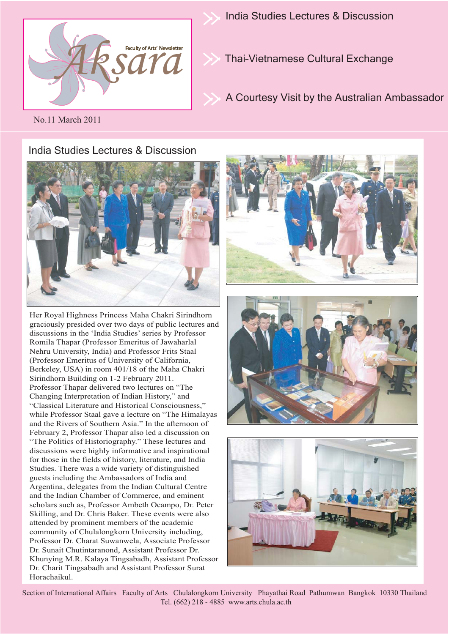

India Studies Lectures & Discussion

Thai–Vietnamese Cultural Exchange

A Courtesy Visit by the Australian Ambassador

No.11 March 2011

## India Studies Lectures & Discussion



Her Royal Highness Princess Maha Chakri Sirindhorn graciously presided over two days of public lectures and discussions in the 'India Studies' series by Professor Romila Thapar (Professor Emeritus of Jawaharlal Nehru University, India) and Professor Frits Staal (Professor Emeritus of University of California, Berkeley, USA) in room 401/18 of the Maha Chakri Sirindhorn Building on 1-2 February 2011. Professor Thapar delivered two lectures on "The Changing Interpretation of Indian History," and "Classical Literature and Historical Consciousness," while Professor Staal gave a lecture on "The Himalayas and the Rivers of Southern Asia." In the afternoon of February 2, Professor Thapar also led a discussion on "The Politics of Historiography." These lectures and discussions were highly informative and inspirational for those in the fields of history, literature, and India Studies. There was a wide variety of distinguished guests including the Ambassadors of India and Argentina, delegates from the Indian Cultural Centre and the Indian Chamber of Commerce, and eminent scholars such as, Professor Ambeth Ocampo, Dr. Peter Skilling, and Dr. Chris Baker. These events were also attended by prominent members of the academic community of Chulalongkorn University including, Professor Dr. Charat Suwanwela, Associate Professor Dr. Sunait Chutintaranond, Assistant Professor Dr. Khunying M.R. Kalaya Tingsabadh, Assistant Professor Dr. Charit Tingsabadh and Assistant Professor Surat Horachaikul.





Section of International Affairs Faculty of Arts Chulalongkorn University Phayathai Road Pathumwan Bangkok 10330 Thailand Tel. (662) 218 - 4885 www.arts.chula.ac.th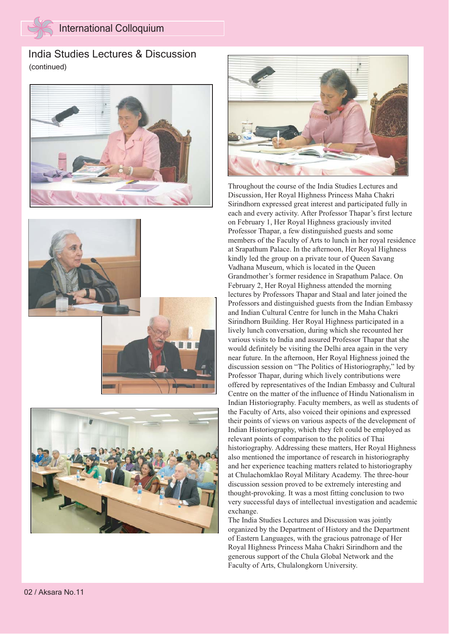India Studies Lectures & Discussion (continued)









Throughout the course of the India Studies Lectures and Discussion, Her Royal Highness Princess Maha Chakri Sirindhorn expressed great interest and participated fully in each and every activity. After Professor Thapar's first lecture on February 1, Her Royal Highness graciously invited Professor Thapar, a few distinguished guests and some members of the Faculty of Arts to lunch in her royal residence at Srapathum Palace. In the afternoon, Her Royal Highness kindly led the group on a private tour of Queen Savang Vadhana Museum, which is located in the Queen Grandmother's former residence in Srapathum Palace. On February 2, Her Royal Highness attended the morning lectures by Professors Thapar and Staal and later joined the Professors and distinguished guests from the Indian Embassy and Indian Cultural Centre for lunch in the Maha Chakri Sirindhorn Building. Her Royal Highness participated in a lively lunch conversation, during which she recounted her various visits to India and assured Professor Thapar that she would definitely be visiting the Delhi area again in the very near future. In the afternoon, Her Royal Highness joined the discussion session on "The Politics of Historiography," led by Professor Thapar, during which lively contributions were offered by representatives of the Indian Embassy and Cultural Centre on the matter of the influence of Hindu Nationalism in Indian Historiography. Faculty members, as well as students of the Faculty of Arts, also voiced their opinions and expressed their points of views on various aspects of the development of Indian Historiography, which they felt could be employed as relevant points of comparison to the politics of Thai historiography. Addressing these matters, Her Royal Highness also mentioned the importance of research in historiography and her experience teaching matters related to historiography at Chulachomklao Royal Military Academy. The three-hour discussion session proved to be extremely interesting and thought-provoking. It was a most fitting conclusion to two very successful days of intellectual investigation and academic exchange.

The India Studies Lectures and Discussion was jointly organized by the Department of History and the Department of Eastern Languages, with the gracious patronage of Her Royal Highness Princess Maha Chakri Sirindhorn and the generous support of the Chula Global Network and the Faculty of Arts, Chulalongkorn University.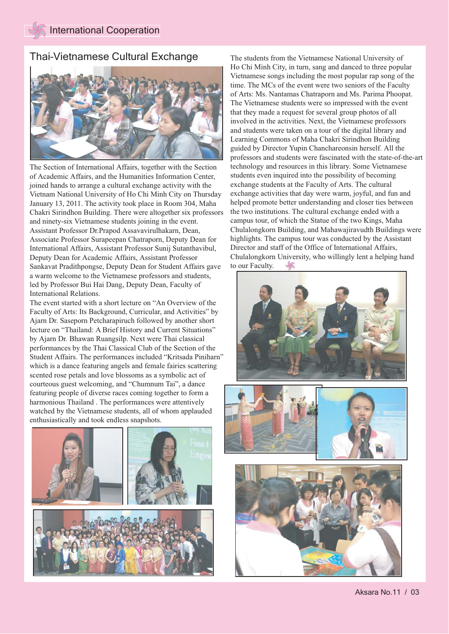### Thai-Vietnamese Cultural Exchange The students from the Vietnamese National University of



The Section of International Affairs, together with the Section of Academic Affairs, and the Humanities Information Center, joined hands to arrange a cultural exchange activity with the Vietnam National University of Ho Chi Minh City on Thursday January 13, 2011. The activity took place in Room 304, Maha Chakri Sirindhon Building. There were altogether six professors and ninety-six Vietnamese students joining in the event. Assistant Professor Dr.Prapod Assavavirulhakarn, Dean, Associate Professor Surapeepan Chatraporn, Deputy Dean for International Affairs, Assistant Professor Sunij Sutanthavibul, Deputy Dean for Academic Affairs, Assistant Professor Sankavat Pradithpongse, Deputy Dean for Student Affairs gave a warm welcome to the Vietnamese professors and students, led by Professor Bui Hai Dang, Deputy Dean, Faculty of International Relations.

The event started with a short lecture on "An Overview of the Faculty of Arts: Its Background, Curricular, and Activities" by Ajarn Dr. Saseporn Petcharapiruch followed by another short lecture on "Thailand: A Brief History and Current Situations" by Ajarn Dr. Bhawan Ruangsilp. Next were Thai classical performances by the Thai Classical Club of the Section of the Student Affairs. The performances included "Kritsada Piniharn" which is a dance featuring angels and female fairies scattering scented rose petals and love blossoms as a symbolic act of courteous guest welcoming, and "Chumnum Tai", a dance featuring people of diverse races coming together to form a harmonious Thailand . The performances were attentively watched by the Vietnamese students, all of whom applauded enthusiastically and took endless snapshots.



Ho Chi Minh City, in turn, sang and danced to three popular Vietnamese songs including the most popular rap song of the time. The MCs of the event were two seniors of the Faculty of Arts: Ms. Nantamas Chatraporn and Ms. Parima Phoopat. The Vietnamese students were so impressed with the event that they made a request for several group photos of all involved in the activities. Next, the Vietnamese professors and students were taken on a tour of the digital library and Learning Commons of Maha Chakri Sirindhon Building guided by Director Yupin Chanchareonsin herself. All the professors and students were fascinated with the state-of-the-art technology and resources in this library. Some Vietnamese students even inquired into the possibility of becoming exchange students at the Faculty of Arts. The cultural exchange activities that day were warm, joyful, and fun and helped promote better understanding and closer ties between the two institutions. The cultural exchange ended with a campus tour, of which the Statue of the two Kings, Maha Chulalongkorn Building, and Mahawajiravudth Buildings were highlights. The campus tour was conducted by the Assistant Director and staff of the Office of International Affairs, Chulalongkorn University, who willingly lent a helping hand to our Faculty.





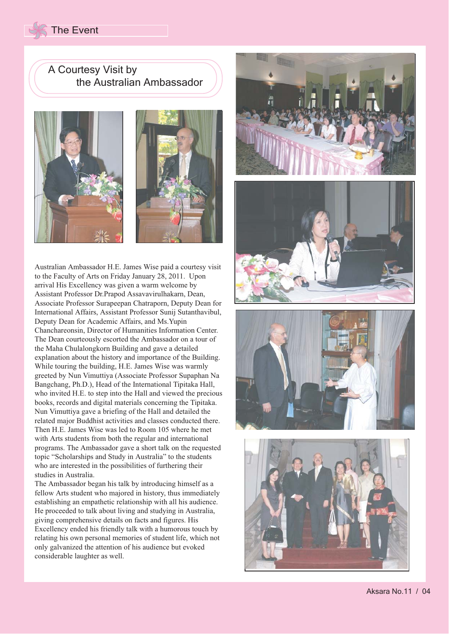# The Event

A Courtesy Visit by the Australian Ambassador





Australian Ambassador H.E. James Wise paid a courtesy visit to the Faculty of Arts on Friday January 28, 2011. Upon arrival His Excellency was given a warm welcome by Assistant Professor Dr.Prapod Assavavirulhakarn, Dean, Associate Professor Surapeepan Chatraporn, Deputy Dean for International Affairs, Assistant Professor Sunij Sutanthavibul, Deputy Dean for Academic Affairs, and Ms.Yupin Chanchareonsin, Director of Humanities Information Center. The Dean courteously escorted the Ambassador on a tour of the Maha Chulalongkorn Building and gave a detailed explanation about the history and importance of the Building. While touring the building, H.E. James Wise was warmly greeted by Nun Vimuttiya (Associate Professor Supaphan Na Bangchang, Ph.D.), Head of the International Tipitaka Hall, who invited H.E. to step into the Hall and viewed the precious books, records and digital materials concerning the Tipitaka. Nun Vimuttiya gave a briefing of the Hall and detailed the related major Buddhist activities and classes conducted there. Then H.E. James Wise was led to Room 105 where he met with Arts students from both the regular and international programs. The Ambassador gave a short talk on the requested topic "Scholarships and Study in Australia" to the students who are interested in the possibilities of furthering their studies in Australia.

The Ambassador began his talk by introducing himself as a fellow Arts student who majored in history, thus immediately establishing an empathetic relationship with all his audience. He proceeded to talk about living and studying in Australia, giving comprehensive details on facts and figures. His Excellency ended his friendly talk with a humorous touch by relating his own personal memories of student life, which not only galvanized the attention of his audience but evoked considerable laughter as well.

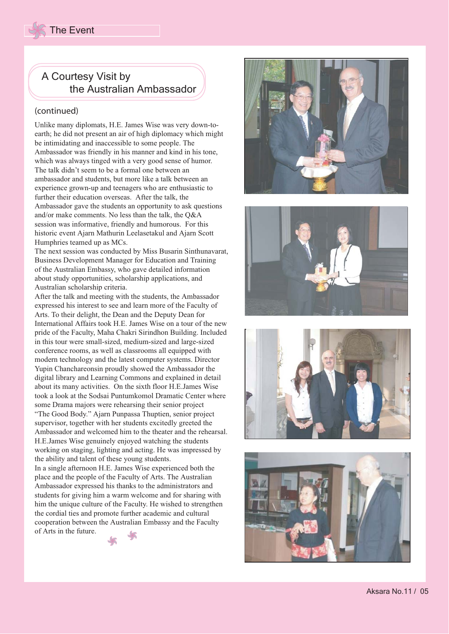

### (continued)

Unlike many diplomats, H.E. James Wise was very down-toearth; he did not present an air of high diplomacy which might be intimidating and inaccessible to some people. The Ambassador was friendly in his manner and kind in his tone, which was always tinged with a very good sense of humor. The talk didn't seem to be a formal one between an ambassador and students, but more like a talk between an experience grown-up and teenagers who are enthusiastic to further their education overseas. After the talk, the Ambassador gave the students an opportunity to ask questions and/or make comments. No less than the talk, the Q&A session was informative, friendly and humorous. For this historic event Ajarn Mathurin Leelasetakul and Ajarn Scott Humphries teamed up as MCs.

The next session was conducted by Miss Busarin Sinthunavarat, Business Development Manager for Education and Training of the Australian Embassy, who gave detailed information about study opportunities, scholarship applications, and Australian scholarship criteria.

After the talk and meeting with the students, the Ambassador expressed his interest to see and learn more of the Faculty of Arts. To their delight, the Dean and the Deputy Dean for International Affairs took H.E. James Wise on a tour of the new pride of the Faculty, Maha Chakri Sirindhon Building. Included in this tour were small-sized, medium-sized and large-sized conference rooms, as well as classrooms all equipped with modern technology and the latest computer systems. Director Yupin Chanchareonsin proudly showed the Ambassador the digital library and Learning Commons and explained in detail about its many activities. On the sixth floor H.E.James Wise took a look at the Sodsai Puntumkomol Dramatic Center where some Drama majors were rehearsing their senior project "The Good Body." Ajarn Punpassa Thuptien, senior project supervisor, together with her students excitedly greeted the Ambassador and welcomed him to the theater and the rehearsal. H.E.James Wise genuinely enjoyed watching the students working on staging, lighting and acting. He was impressed by the ability and talent of these young students.

In a single afternoon H.E. James Wise experienced both the place and the people of the Faculty of Arts. The Australian Ambassador expressed his thanks to the administrators and students for giving him a warm welcome and for sharing with him the unique culture of the Faculty. He wished to strengthen the cordial ties and promote further academic and cultural cooperation between the Australian Embassy and the Faculty of Arts in the future.